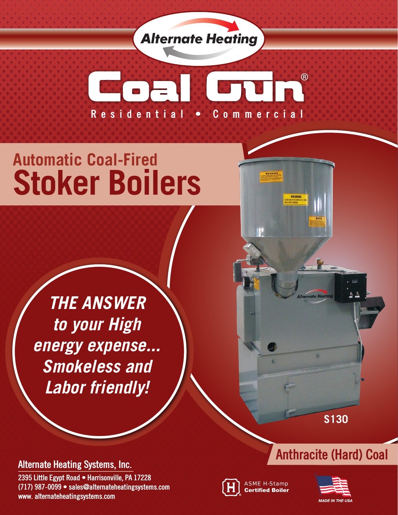



# **Automatic Coal-Fired Stoker Boilers**

*THE ANSWER to your High energy expense... Smokeless and Labor friendly!*

**S130**

Alternate Heatu

**Alternate Heating Systems, Inc. 2395 Little Egypt Road • Harrisonville, PA 17228 (717) 987-0099 • sales@alternateheatingsystems.com**

**www. alternateheatingsystems.com**



Щ



**Anthracite (Hard) Coal**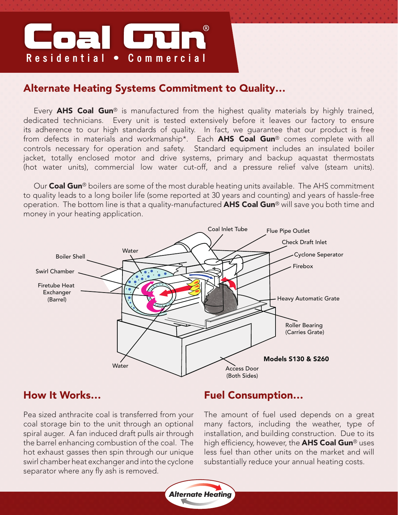## $\blacksquare$ oa **Residential • Commercial**

## Alternate Heating Systems Commitment to Quality…

Every **AHS Coal Gun**<sup>®</sup> is manufactured from the highest quality materials by highly trained, dedicated technicians. Every unit is tested extensively before it leaves our factory to ensure its adherence to our high standards of quality. In fact, we guarantee that our product is free from defects in materials and workmanship\*. Each AHS Coal Gun® comes complete with all controls necessary for operation and safety. Standard equipment includes an insulated boiler jacket, totally enclosed motor and drive systems, primary and backup aquastat thermostats (hot water units), commercial low water cut-off, and a pressure relief valve (steam units).

Our **Coal Gun**<sup>®</sup> boilers are some of the most durable heating units available. The AHS commitment to quality leads to a long boiler life (some reported at 30 years and counting) and years of hassle-free operation. The bottom line is that a quality-manufactured AHS Coal Gun® will save you both time and money in your heating application.



## How It Works…

Pea sized anthracite coal is transferred from your coal storage bin to the unit through an optional spiral auger. A fan induced draft pulls air through the barrel enhancing combustion of the coal. The hot exhaust gasses then spin through our unique swirl chamber heat exchanger and into the cyclone separator where any fly ash is removed.

## Fuel Consumption…

The amount of fuel used depends on a great many factors, including the weather, type of installation, and building construction. Due to its high efficiency, however, the **AHS Coal Gun**® uses less fuel than other units on the market and will substantially reduce your annual heating costs.

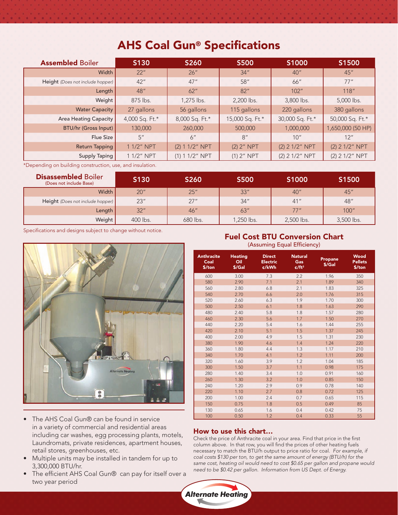## AHS Coal Gun® Specifications

| <b>Assembled Boiler</b>          | S <sub>130</sub> | S260           | <b>S500</b>     | S1000           | S1500             |
|----------------------------------|------------------|----------------|-----------------|-----------------|-------------------|
| Width                            | 22"              | 26''           | 34''            | 40''            | 45''              |
| Height (Does not include hopper) | 42"              | 47''           | 58''            | 66''            | 77"               |
| Length                           | 48''             | 62"            | 82"             | 102"            | 118"              |
| Weight                           | 875 lbs.         | 1,275 lbs.     | 2,200 lbs.      | 3,800 lbs.      | 5,000 lbs.        |
| <b>Water Capacity</b>            | 27 gallons       | 56 gallons     | 115 gallons     | 220 gallons     | 380 gallons       |
| <b>Area Heating Capacity</b>     | 4,000 Sq. Ft.*   | 8,000 Sq. Ft.* | 15,000 Sq. Ft.* | 30,000 Sq. Ft.* | 50,000 Sq. Ft.*   |
| BTU/hr (Gross Input)             | 130,000          | 260,000        | 500,000         | 1,000,000       | 1,650,000 (50 HP) |
| Flue Size                        | 5''              | 6''            | 8''             | 10''            | 12"               |
| <b>Return Tapping</b>            | 1 1/2" NPT       | (2) 1 1/2" NPT | $(2)$ 2" NPT    | (2) 2 1/2" NPT  | (2) 2 1/2" NPT    |
| Supply Taping                    | 1 1/2" NPT       | (1) 1 1/2" NPT | $(1)$ 2" NPT    | (2) 2 1/2" NPT  | (2) 2 1/2" NPT    |

\*Depending on building construction, use, and insulation.

| <b>Disassembled Boiler</b><br>(Does not include Base) | S <sub>130</sub> | <b>S260</b> | <b>S500</b> | S1000      | S <sub>1500</sub> |
|-------------------------------------------------------|------------------|-------------|-------------|------------|-------------------|
| Width                                                 | 20''             | 25''        | 33"         | 40''       | 45''              |
| Height (Does not include hopper)                      | 23''             | 27"         | 34''        | 41''       | 48"               |
| Length                                                | 32"              | 46''        | 63''        | 77"        | 100''             |
| Weight                                                | 400 lbs.         | 680 lbs.    | 1,250 lbs.  | 2,500 lbs. | 3,500 lbs.        |

Specifications and designs subject to change without notice.



- The AHS Coal Gun® can be found in service in a variety of commercial and residential areas including car washes, egg processing plants, motels, Laundromats, private residences, apartment houses, retail stores, greenhouses, etc.
- Multiple units may be installed in tandem for up to 3,300,000 BTU/hr.
- The efficient AHS Coal Gun® can pay for itself over a two year period

#### Fuel Cost BTU Conversion Chart (Assuming Equal Efficiency)

|                                     |                                 |                                           |                                                      | ,,                       |                                         |
|-------------------------------------|---------------------------------|-------------------------------------------|------------------------------------------------------|--------------------------|-----------------------------------------|
| <b>Anthracite</b><br>Coal<br>\$/ton | <b>Heating</b><br>Oil<br>\$/Gal | <b>Direct</b><br><b>Electric</b><br>¢/kWh | <b>Natural</b><br>Gas<br>$\epsilon$ /ft <sup>3</sup> | <b>Propane</b><br>\$/Gal | <b>Wood</b><br><b>Pellets</b><br>\$/ton |
| 600                                 | 3.00                            | 7.3                                       | 2.2                                                  | 1.96                     | 350                                     |
| 580                                 | 2.90                            | 7.1                                       | 2.1                                                  | 1.89                     | 340                                     |
| 560                                 | 2.80                            | 6.8                                       | 2.1                                                  | 1.83                     | 325                                     |
| 540                                 | 2.70                            | 6.6                                       | 2.0                                                  | 1.76                     | 315                                     |
| 520                                 | 2.60                            | 6.3                                       | 1.9                                                  | 1.70                     | 300                                     |
| 500                                 | 2.50                            | 6.1                                       | 1.8                                                  | 1.63                     | 290                                     |
| 480                                 | 2.40                            | 5.8                                       | 1.8                                                  | 1.57                     | 280                                     |
| 460                                 | 2.30                            | 5.6                                       | 1.7                                                  | 1.50                     | 270                                     |
| 440                                 | 2.20                            | 5.4                                       | 1.6                                                  | 1.44                     | 255                                     |
| 420                                 | 2.10                            | 5.1                                       | 1.5                                                  | 1.37                     | 245                                     |
| 400                                 | 2.00                            | 4.9                                       | 1.5                                                  | 1.31                     | 230                                     |
| 380                                 | 1.90                            | 4.6                                       | 1.4                                                  | 1.24                     | 220                                     |
| 360                                 | 1.80                            | 4.4                                       | 1.3                                                  | 1.17                     | 210                                     |
| 340                                 | 1.70                            | 4.1                                       | 1.2                                                  | 1.11                     | 200                                     |
| 320                                 | 1.60                            | 3.9                                       | 1.2                                                  | 1.04                     | 185                                     |
| 300                                 | 1.50                            | 3.7                                       | 1.1                                                  | 0.98                     | 175                                     |
| 280                                 | 1.40                            | 3.4                                       | 1.0                                                  | 0.91                     | 160                                     |
| 260                                 | 1.30                            | 3.2                                       | 1.0                                                  | 0.85                     | 150                                     |
| 240                                 | 1.20                            | 2.9                                       | 0.9                                                  | 0.78                     | 140                                     |
| 220                                 | 1.10                            | 2.7                                       | 0.8                                                  | 0.72                     | 125                                     |
| 200                                 | 1.00                            | 2.4                                       | 0.7                                                  | 0.65                     | 115                                     |
| 150                                 | 0.75                            | 1.8                                       | 0.5                                                  | 0.49                     | 85                                      |
| 130                                 | 0.65                            | 1.6                                       | 0.4                                                  | 0.42                     | 75                                      |
| 100                                 | 0.50                            | 1.2                                       | 0.4                                                  | 0.33                     | 55                                      |

#### How to use this chart…

Check the price of Anthracite coal in your area. Find that price in the first column above. In that row, you will find the prices of other heating fuels necessary to match the BTU/h output to price ratio for coal. *For example, if coal costs \$130 per ton, to get the same amount of energy (BTU/h) for the same cost, heating oil would need to cost \$0.65 per gallon and propane would need to be \$0.42 per gallon. Information from US Dept. of Energy.*